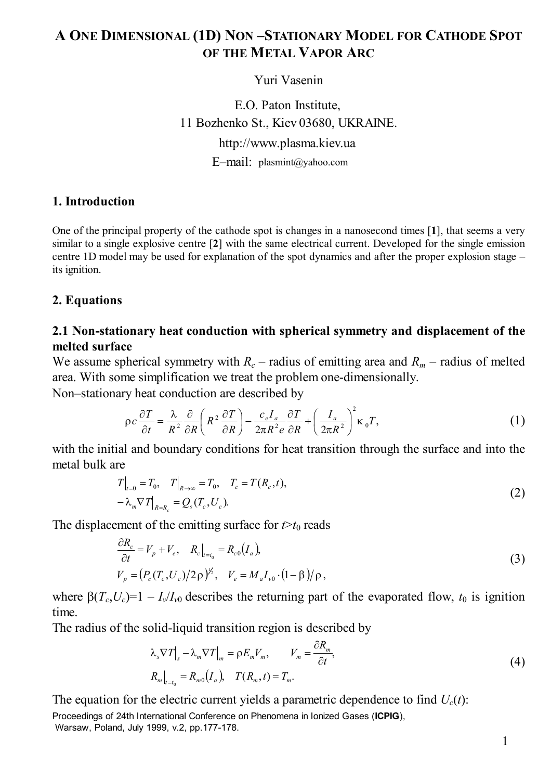# **A ONE DIMENSIONAL (1D) NON –STATIONARY MODEL FOR CATHODE SPOT OF THE METAL VAPOR ARC**

Yuri Vasenin

11 Bozhenko St., Kiev 03680, UKRAINE. http://www.plasma.kiev.ua E–mail: plasmint@yahoo.comE.O. Paton Institute,

#### **1. Introduction**

One of the principal property of the cathode spot is changes in a nanosecond times [**1**], that seems a very similar to a single explosive centre [**2**] with the same electrical current. Developed for the single emission centre 1D model may be used for explanation of the spot dynamics and after the proper explosion stage – its ignition.

#### **2. Equations**

## **2.1 Non-stationary heat conduction with spherical symmetry and displacement of the melted surface**

We assume spherical symmetry with  $R_c$  – radius of emitting area and  $R_m$  – radius of melted area. With some simplification we treat the problem one-dimensionally.

Non–stationary heat conduction are described by

$$
\rho c \frac{\partial T}{\partial t} = \frac{\lambda}{R^2} \frac{\partial}{\partial R} \left( R^2 \frac{\partial T}{\partial R} \right) - \frac{c_e I_a}{2\pi R^2 e} \frac{\partial T}{\partial R} + \left( \frac{I_a}{2\pi R^2} \right)^2 \kappa_0 T, \tag{1}
$$

with the initial and boundary conditions for heat transition through the surface and into the metal bulk are

$$
T|_{t=0} = T_0, \quad T|_{R \to \infty} = T_0, \quad T_c = T(R_c, t),
$$
  

$$
-\lambda_m \nabla T|_{R=R_c} = Q_s(T_c, U_c).
$$
 (2)

The displacement of the emitting surface for  $t > t_0$  reads

$$
\frac{\partial R_c}{\partial t} = V_p + V_e, \quad R_c|_{t=t_0} = R_{c0}(I_a),
$$
  
\n
$$
V_p = (P_c(T_c, U_c)/2\rho)^{V_2}, \quad V_e = M_a I_{v0} \cdot (1-\beta)/\rho,
$$
\n(3)

where  $\beta(T_c, U_c) = 1 - I_v/I_{v0}$  describes the returning part of the evaporated flow,  $t_0$  is ignition time.

The radius of the solid-liquid transition region is described by

$$
\lambda_s \nabla T \big|_{s} - \lambda_m \nabla T \big|_{m} = \rho E_m V_m, \qquad V_m = \frac{\partial R_m}{\partial t},
$$
  
\n
$$
R_m \big|_{t=t_0} = R_{m0} (I_a), \quad T(R_m, t) = T_m.
$$
\n(4)

The equation for the electric current yields a parametric dependence to find  $U_c(t)$ :

Proceedings of 24th International Conference on Phenomena in Ionized Gases (**ICPIG**), Warsaw, Poland, July 1999, v.2, pp.177-178.

1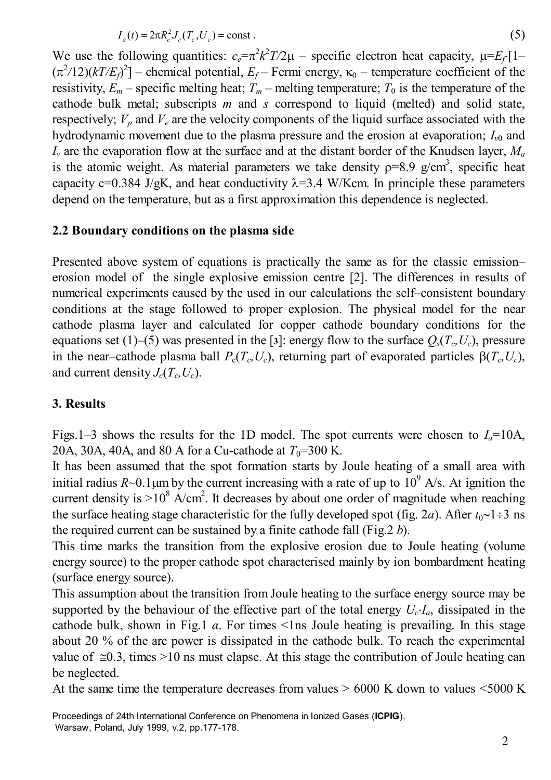$$
I_a(t) = 2\pi R_c^2 J_c(T_c, U_c) = \text{const.}\tag{5}
$$

We use the following quantities:  $c_e = \pi^2 k^2 T/2\mu$  – specific electron heat capacity,  $\mu = E_f[1-\mu]$  $(\pi^2/12)(kT/E_f)^2$  – chemical potential,  $E_f$  – Fermi energy,  $\kappa_0$  – temperature coefficient of the resistivity,  $E_m$  – specific melting heat;  $T_m$  – melting temperature;  $T_0$  is the temperature of the cathode bulk metal; subscripts *m* and *s* correspond to liquid (melted) and solid state, respectively;  $V_p$  and  $V_e$  are the velocity components of the liquid surface associated with the hydrodynamic movement due to the plasma pressure and the erosion at evaporation;  $I_{v0}$  and *Iv* are the evaporation flow at the surface and at the distant border of the Knudsen layer, *Ma* is the atomic weight. As material parameters we take density  $p=8.9$  g/cm<sup>3</sup>, specific heat capacity c=0.384 J/gK, and heat conductivity  $\lambda$ =3.4 W/Kcm. In principle these parameters depend on the temperature, but as a first approximation this dependence is neglected.

#### **2.2 Boundary conditions on the plasma side**

Presented above system of equations is practically the same as for the classic emission– erosion model of the single explosive emission centre [2]. The differences in results of numerical experiments caused by the used in our calculations the self–consistent boundary conditions at the stage followed to proper explosion. The physical model for the near cathode plasma layer and calculated for copper cathode boundary conditions for the equations set (1)–(5) was presented in the [3]: energy flow to the surface  $Q_s(T_c, U_c)$ , pressure in the near–cathode plasma ball  $P_c(T_c, U_c)$ , returning part of evaporated particles  $\beta(T_c, U_c)$ , and current density  $J_c(T_c, U_c)$ .

#### **3. Results**

Figs.1–3 shows the results for the 1D model. The spot currents were chosen to  $I<sub>a</sub>=10A$ , 20A, 30A, 40A, and 80 A for a Cu-cathode at  $T_0$ =300 K.

It has been assumed that the spot formation starts by Joule heating of a small area with initial radius  $R \sim 0.1 \mu$ m by the current increasing with a rate of up to  $10^9$  A/s. At ignition the current density is  $>10^8$  A/cm<sup>2</sup>. It decreases by about one order of magnitude when reaching the surface heating stage characteristic for the fully developed spot (fig. 2*a*). After *t*0∼1÷3 ns the required current can be sustained by a finite cathode fall (Fig.2 *b*).

This time marks the transition from the explosive erosion due to Joule heating (volume energy source) to the proper cathode spot characterised mainly by ion bombardment heating (surface energy source).

This assumption about the transition from Joule heating to the surface energy source may be supported by the behaviour of the effective part of the total energy  $U_c \cdot I_a$ , dissipated in the cathode bulk, shown in Fig.1  $a$ . For times  $\leq$ 1 ns Joule heating is prevailing. In this stage about 20 % of the arc power is dissipated in the cathode bulk. To reach the experimental value of  $\approx 0.3$ , times >10 ns must elapse. At this stage the contribution of Joule heating can be neglected.

At the same time the temperature decreases from values  $> 6000$  K down to values  $< 5000$  K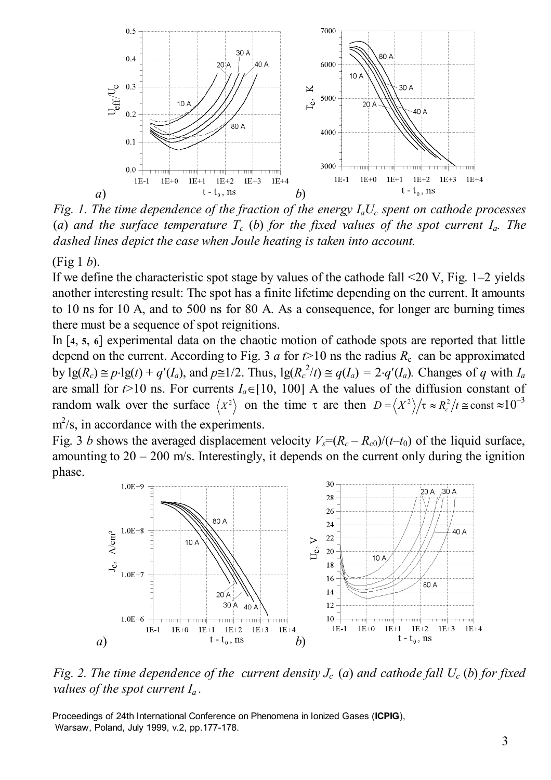

*Fig. 1. The time dependence of the fraction of the energy*  $I_aU_c$  *spent on cathode processes* (*a*) and the surface temperature  $T_c$  (*b*) for the fixed values of the spot current  $I_a$ . The *dashed lines depict the case when Joule heating is taken into account.*

#### (Fig 1 *b*).

If we define the characteristic spot stage by values of the cathode fall <20 V, Fig. 1–2 yields another interesting result: The spot has a finite lifetime depending on the current. It amounts to 10 ns for 10 A, and to 500 ns for 80 A. As a consequence, for longer arc burning times there must be a sequence of spot reignitions.

In [**4**, **5**, **6**] experimental data on the chaotic motion of cathode spots are reported that little depend on the current. According to Fig. 3 *a* for  $t > 10$  ns the radius  $R_c$  can be approximated by  $\lg(R_c) \cong p \cdot \lg(t) + q'(I_a)$ , and  $p \cong 1/2$ . Thus,  $\lg(R_c^2/t) \cong q(I_a) = 2 \cdot q'(I_a)$ . Changes of *q* with  $I_a$ are small for  $t > 10$  ns. For currents  $I_a \in [10, 100]$  A the values of the diffusion constant of random walk over the surface  $\langle X^2 \rangle$  on the time  $\tau$  are then  $D = \langle X^2 \rangle / \tau \approx R_c^2 / t \approx \text{const} \approx 10^{-3}$  $m^2$ /s, in accordance with the experiments.

Fig. 3 *b* shows the averaged displacement velocity  $V_s = (R_c - R_{c0})/(t-t_0)$  of the liquid surface, amounting to  $20 - 200$  m/s. Interestingly, it depends on the current only during the ignition phase.



*Fig. 2. The time dependence of the current density*  $J_c$  *(a) and cathode fall*  $U_c$  *(b) for fixed values of the spot current Ia .*

Proceedings of 24th International Conference on Phenomena in Ionized Gases (**ICPIG**), Warsaw, Poland, July 1999, v.2, pp.177-178.